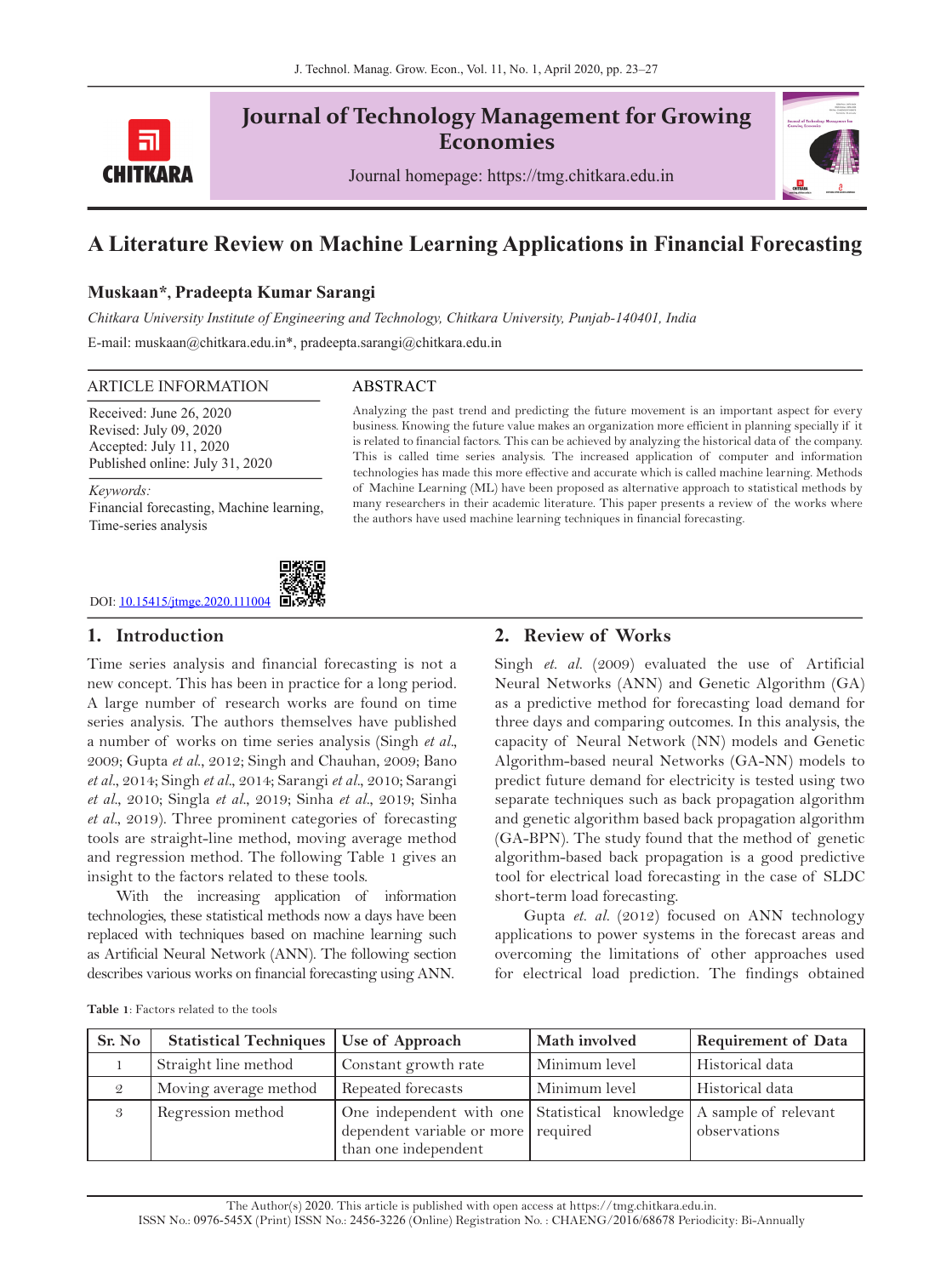

# **Journal of Technology Management for Growing Economies**

Journal homepage: https://tmg.chitkara.edu.in



# **A Literature Review on Machine Learning Applications in Financial Forecasting**

# **Muskaan\*, Pradeepta Kumar Sarangi**

*Chitkara University Institute of Engineering and Technology, Chitkara University, Punjab-140401, India*

E-mail: muskaan@chitkara.edu.in\*, pradeepta.sarangi@chitkara.edu.in

### ARTICLE INFORMATION ABSTRACT

Received: June 26, 2020 Revised: July 09, 2020 Accepted: July 11, 2020 Published online: July 31, 2020

*Keywords:* 

Financial forecasting, Machine learning, Time-series analysis



## **1. Introduction**

Time series analysis and financial forecasting is not a new concept. This has been in practice for a long period. A large number of research works are found on time series analysis. The authors themselves have published a number of works on time series analysis (Singh *et al.,* 2009; Gupta *et al*., 2012; Singh and Chauhan, 2009; Bano *et al.*, 2014; Singh *et al.*, 2014; Sarangi *et al.*, 2010; Sarangi *et al.*, 2010; Singla *et al.*, 2019; Sinha *et al.*, 2019; Sinha *et al.*, 2019). Three prominent categories of forecasting tools are straight-line method, moving average method and regression method. The following Table 1 gives an insight to the factors related to these tools.

With the increasing application of information technologies, these statistical methods now a days have been replaced with techniques based on machine learning such as Artificial Neural Network (ANN). The following section describes various works on financial forecasting using ANN.

Analyzing the past trend and predicting the future movement is an important aspect for every business. Knowing the future value makes an organization more efficient in planning specially if it is related to financial factors. This can be achieved by analyzing the historical data of the company. This is called time series analysis. The increased application of computer and information technologies has made this more effective and accurate which is called machine learning. Methods of Machine Learning (ML) have been proposed as alternative approach to statistical methods by many researchers in their academic literature. This paper presents a review of the works where the authors have used machine learning techniques in financial forecasting.

### **2. Review of Works**

Singh *et. al.* (2009) evaluated the use of Artificial Neural Networks (ANN) and Genetic Algorithm (GA) as a predictive method for forecasting load demand for three days and comparing outcomes. In this analysis, the capacity of Neural Network (NN) models and Genetic Algorithm-based neural Networks (GA-NN) models to predict future demand for electricity is tested using two separate techniques such as back propagation algorithm and genetic algorithm based back propagation algorithm (GA-BPN). The study found that the method of genetic algorithm-based back propagation is a good predictive tool for electrical load forecasting in the case of SLDC short-term load forecasting.

Gupta *et. al.* (2012) focused on ANN technology applications to power systems in the forecast areas and overcoming the limitations of other approaches used for electrical load prediction. The findings obtained

| <b>Table 1:</b> Factors related to the tools |  |
|----------------------------------------------|--|
|----------------------------------------------|--|

| Sr. No        | Statistical Techniques   Use of Approach |                                                                                                                                      | Math involved | <b>Requirement of Data</b> |
|---------------|------------------------------------------|--------------------------------------------------------------------------------------------------------------------------------------|---------------|----------------------------|
|               | Straight line method                     | Constant growth rate                                                                                                                 | Minimum level | Historical data            |
| $\mathcal{Q}$ | Moving average method                    | Repeated forecasts                                                                                                                   | Minimum level | Historical data            |
|               | Regression method                        | One independent with one Statistical knowledge   A sample of relevant<br>dependent variable or more required<br>than one independent |               | observations               |

The Author(s) 2020. This article is published with open access at https://tmg.chitkara.edu.in. ISSN No.: 0976-545X (Print) ISSN No.: 2456-3226 (Online) Registration No. : CHAENG/2016/68678 Periodicity: Bi-Annually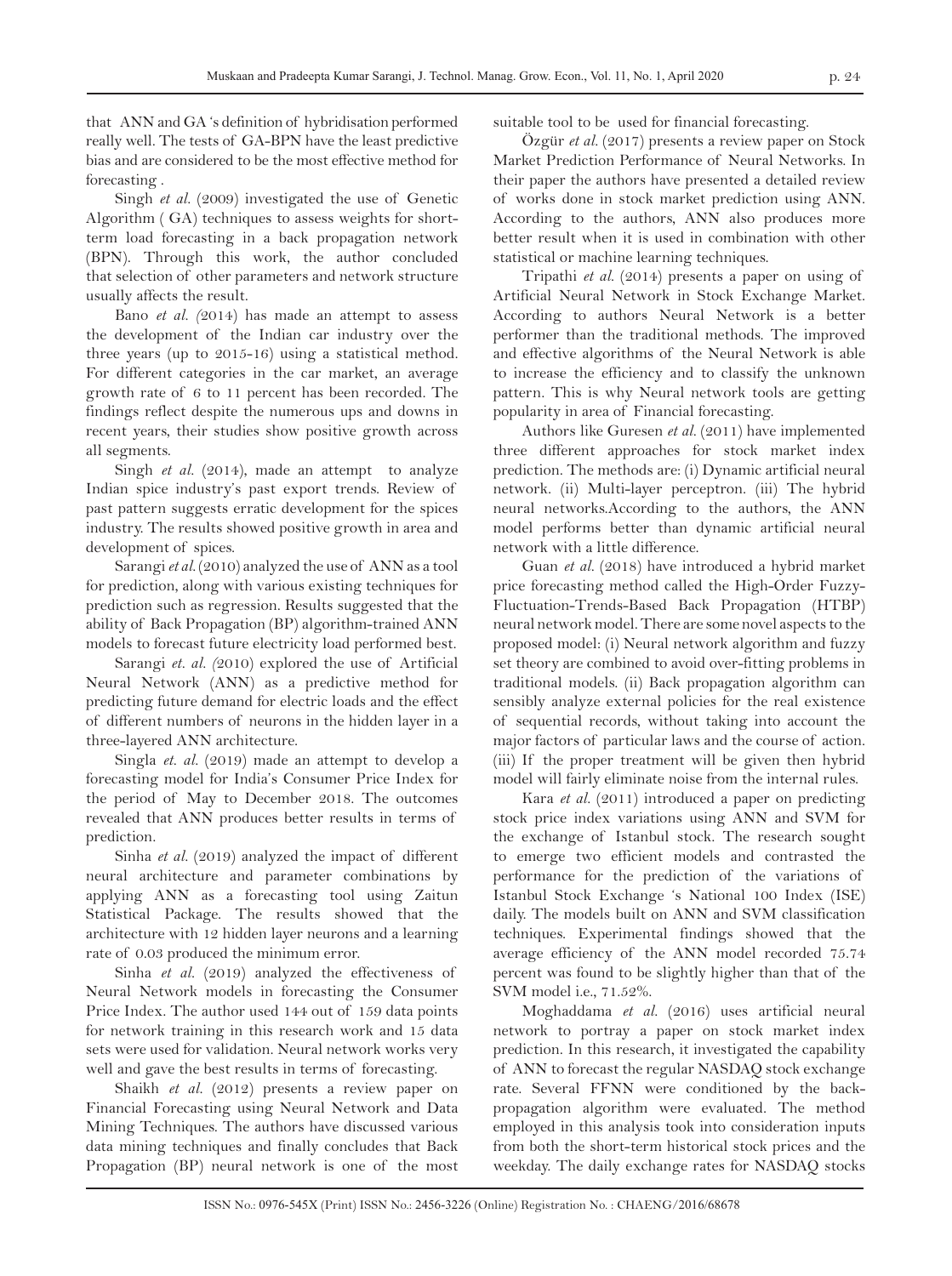that ANN and GA 's definition of hybridisation performed really well. The tests of GA-BPN have the least predictive bias and are considered to be the most effective method for forecasting .

Singh *et al.* (2009) investigated the use of Genetic Algorithm ( GA) techniques to assess weights for shortterm load forecasting in a back propagation network (BPN). Through this work, the author concluded that selection of other parameters and network structure usually affects the result.

Bano *et al. (*2014) has made an attempt to assess the development of the Indian car industry over the three years (up to 2015-16) using a statistical method. For different categories in the car market, an average growth rate of 6 to 11 percent has been recorded. The findings reflect despite the numerous ups and downs in recent years, their studies show positive growth across all segments.

Singh *et al.* (2014), made an attempt to analyze Indian spice industry's past export trends. Review of past pattern suggests erratic development for the spices industry. The results showed positive growth in area and development of spices.

Sarangi *et al.* (2010) analyzed the use of ANN as a tool for prediction, along with various existing techniques for prediction such as regression. Results suggested that the ability of Back Propagation (BP) algorithm-trained ANN models to forecast future electricity load performed best.

Sarangi *et. al. (*2010) explored the use of Artificial Neural Network (ANN) as a predictive method for predicting future demand for electric loads and the effect of different numbers of neurons in the hidden layer in a three-layered ANN architecture.

Singla *et. al.* (2019) made an attempt to develop a forecasting model for India's Consumer Price Index for the period of May to December 2018. The outcomes revealed that ANN produces better results in terms of prediction.

Sinha *et al.* (2019) analyzed the impact of different neural architecture and parameter combinations by applying ANN as a forecasting tool using Zaitun Statistical Package. The results showed that the architecture with 12 hidden layer neurons and a learning rate of 0.03 produced the minimum error.

Sinha *et al.* (2019) analyzed the effectiveness of Neural Network models in forecasting the Consumer Price Index. The author used 144 out of 159 data points for network training in this research work and 15 data sets were used for validation. Neural network works very well and gave the best results in terms of forecasting.

Shaikh *et al.* (2012) presents a review paper on Financial Forecasting using Neural Network and Data Mining Techniques. The authors have discussed various data mining techniques and finally concludes that Back Propagation (BP) neural network is one of the most suitable tool to be used for financial forecasting.

Özgür *et al.* (2017) presents a review paper on Stock Market Prediction Performance of Neural Networks. In their paper the authors have presented a detailed review of works done in stock market prediction using ANN. According to the authors, ANN also produces more better result when it is used in combination with other statistical or machine learning techniques.

Tripathi *et al.* (2014) presents a paper on using of Artificial Neural Network in Stock Exchange Market. According to authors Neural Network is a better performer than the traditional methods. The improved and effective algorithms of the Neural Network is able to increase the efficiency and to classify the unknown pattern. This is why Neural network tools are getting popularity in area of Financial forecasting.

Authors like Guresen *et al.* (2011) have implemented three different approaches for stock market index prediction. The methods are: (i) Dynamic artificial neural network. (ii) Multi-layer perceptron. (iii) The hybrid neural networks.According to the authors, the ANN model performs better than dynamic artificial neural network with a little difference.

Guan *et al.* (2018) have introduced a hybrid market price forecasting method called the High-Order Fuzzy-Fluctuation-Trends-Based Back Propagation (HTBP) neural network model. There are some novel aspects to the proposed model: (i) Neural network algorithm and fuzzy set theory are combined to avoid over-fitting problems in traditional models. (ii) Back propagation algorithm can sensibly analyze external policies for the real existence of sequential records, without taking into account the major factors of particular laws and the course of action. (iii) If the proper treatment will be given then hybrid model will fairly eliminate noise from the internal rules.

Kara *et al.* (2011) introduced a paper on predicting stock price index variations using ANN and SVM for the exchange of Istanbul stock. The research sought to emerge two efficient models and contrasted the performance for the prediction of the variations of Istanbul Stock Exchange 's National 100 Index (ISE) daily. The models built on ANN and SVM classification techniques. Experimental findings showed that the average efficiency of the ANN model recorded 75.74 percent was found to be slightly higher than that of the SVM model i.e., 71.52%.

Moghaddama *et al.* (2016) uses artificial neural network to portray a paper on stock market index prediction. In this research, it investigated the capability of ANN to forecast the regular NASDAQ stock exchange rate. Several FFNN were conditioned by the backpropagation algorithm were evaluated. The method employed in this analysis took into consideration inputs from both the short-term historical stock prices and the weekday. The daily exchange rates for NASDAQ stocks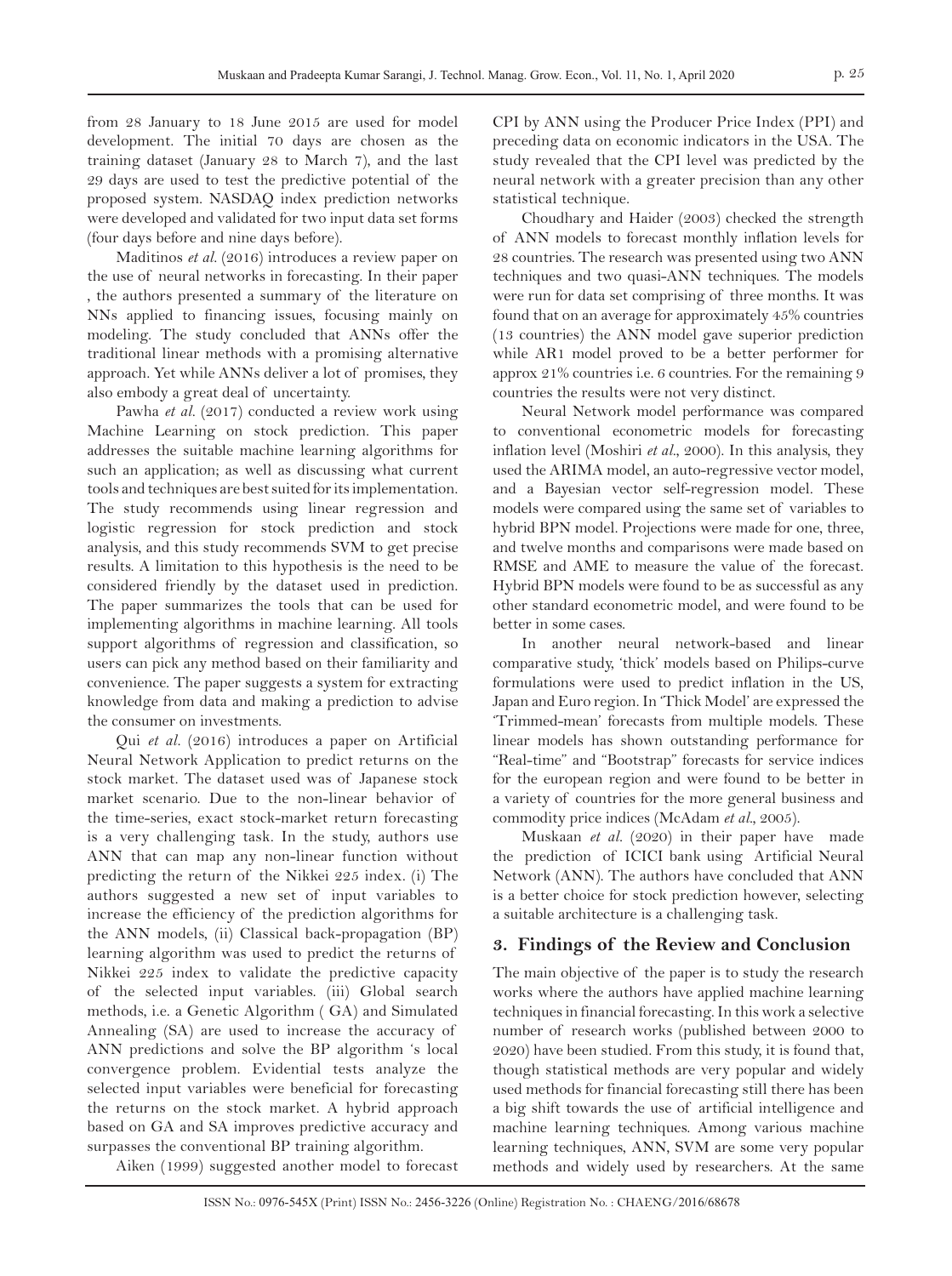from 28 January to 18 June 2015 are used for model development. The initial 70 days are chosen as the training dataset (January 28 to March 7), and the last 29 days are used to test the predictive potential of the proposed system. NASDAQ index prediction networks were developed and validated for two input data set forms (four days before and nine days before).

Maditinos *et al.* (2016) introduces a review paper on the use of neural networks in forecasting. In their paper , the authors presented a summary of the literature on NNs applied to financing issues, focusing mainly on modeling. The study concluded that ANNs offer the traditional linear methods with a promising alternative approach. Yet while ANNs deliver a lot of promises, they also embody a great deal of uncertainty.

Pawha *et al.* (2017) conducted a review work using Machine Learning on stock prediction. This paper addresses the suitable machine learning algorithms for such an application; as well as discussing what current tools and techniques are best suited for its implementation. The study recommends using linear regression and logistic regression for stock prediction and stock analysis, and this study recommends SVM to get precise results. A limitation to this hypothesis is the need to be considered friendly by the dataset used in prediction. The paper summarizes the tools that can be used for implementing algorithms in machine learning. All tools support algorithms of regression and classification, so users can pick any method based on their familiarity and convenience. The paper suggests a system for extracting knowledge from data and making a prediction to advise the consumer on investments.

Qui *et al.* (2016) introduces a paper on Artificial Neural Network Application to predict returns on the stock market. The dataset used was of Japanese stock market scenario. Due to the non-linear behavior of the time-series, exact stock-market return forecasting is a very challenging task. In the study, authors use ANN that can map any non-linear function without predicting the return of the Nikkei 225 index. (i) The authors suggested a new set of input variables to increase the efficiency of the prediction algorithms for the ANN models, (ii) Classical back-propagation (BP) learning algorithm was used to predict the returns of Nikkei 225 index to validate the predictive capacity of the selected input variables. (iii) Global search methods, i.e. a Genetic Algorithm ( GA) and Simulated Annealing (SA) are used to increase the accuracy of ANN predictions and solve the BP algorithm 's local convergence problem. Evidential tests analyze the selected input variables were beneficial for forecasting the returns on the stock market. A hybrid approach based on GA and SA improves predictive accuracy and surpasses the conventional BP training algorithm.

Aiken (1999) suggested another model to forecast

CPI by ANN using the Producer Price Index (PPI) and preceding data on economic indicators in the USA. The study revealed that the CPI level was predicted by the neural network with a greater precision than any other statistical technique.

Choudhary and Haider (2003) checked the strength of ANN models to forecast monthly inflation levels for 28 countries. The research was presented using two ANN techniques and two quasi-ANN techniques. The models were run for data set comprising of three months. It was found that on an average for approximately 45% countries (13 countries) the ANN model gave superior prediction while AR1 model proved to be a better performer for approx 21% countries i.e. 6 countries. For the remaining 9 countries the results were not very distinct.

Neural Network model performance was compared to conventional econometric models for forecasting inflation level (Moshiri *et al.*, 2000). In this analysis, they used the ARIMA model, an auto-regressive vector model, and a Bayesian vector self-regression model. These models were compared using the same set of variables to hybrid BPN model. Projections were made for one, three, and twelve months and comparisons were made based on RMSE and AME to measure the value of the forecast. Hybrid BPN models were found to be as successful as any other standard econometric model, and were found to be better in some cases.

In another neural network-based and linear comparative study, 'thick' models based on Philips-curve formulations were used to predict inflation in the US, Japan and Euro region. In 'Thick Model' are expressed the 'Trimmed-mean' forecasts from multiple models. These linear models has shown outstanding performance for "Real-time" and "Bootstrap" forecasts for service indices for the european region and were found to be better in a variety of countries for the more general business and commodity price indices (McAdam *et al.,* 2005).

Muskaan *et al.* (2020) in their paper have made the prediction of ICICI bank using Artificial Neural Network (ANN). The authors have concluded that ANN is a better choice for stock prediction however, selecting a suitable architecture is a challenging task.

# **3. Findings of the Review and Conclusion**

The main objective of the paper is to study the research works where the authors have applied machine learning techniques in financial forecasting. In this work a selective number of research works (published between 2000 to 2020) have been studied. From this study, it is found that, though statistical methods are very popular and widely used methods for financial forecasting still there has been a big shift towards the use of artificial intelligence and machine learning techniques. Among various machine learning techniques, ANN, SVM are some very popular methods and widely used by researchers. At the same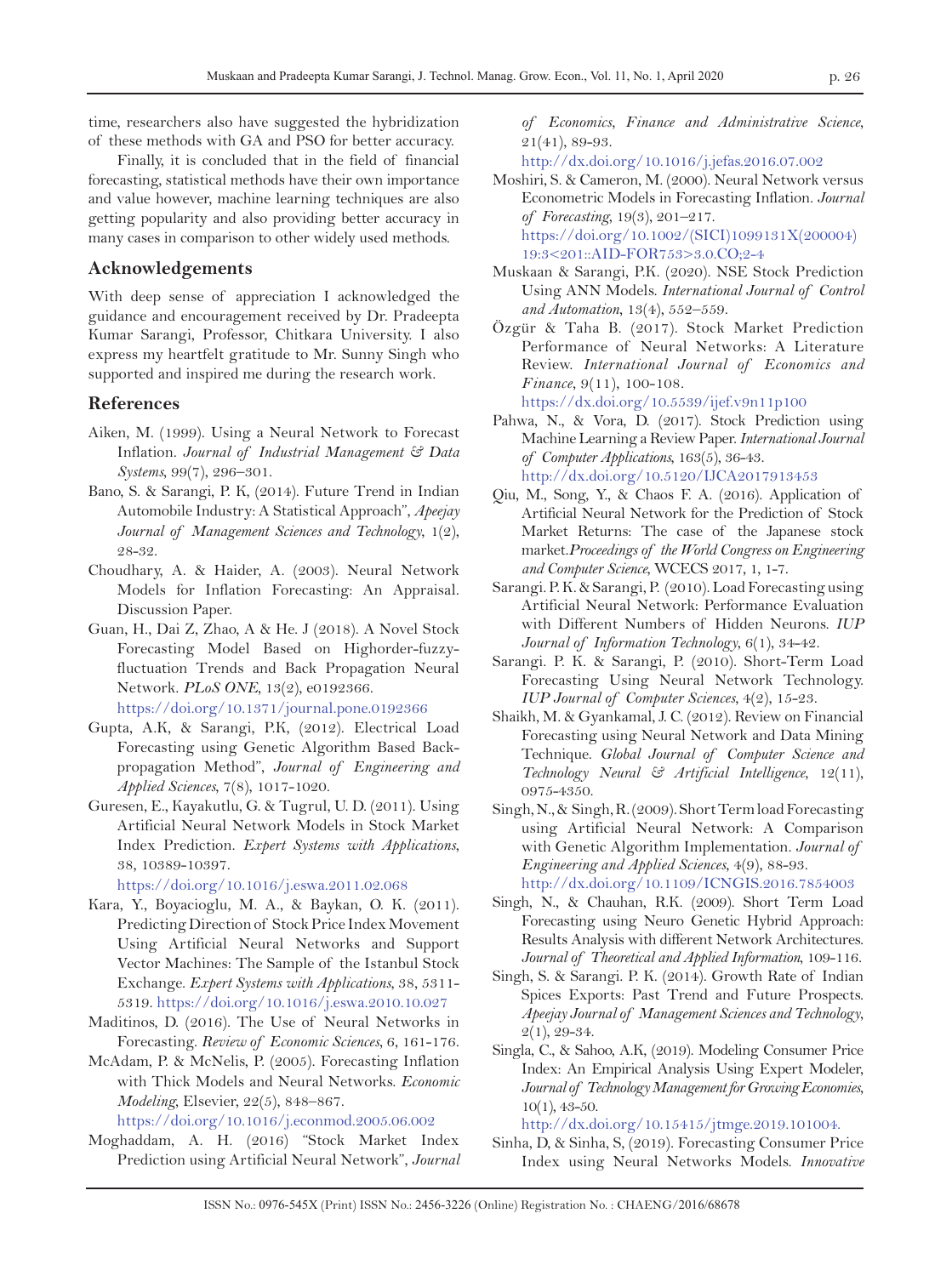time, researchers also have suggested the hybridization of these methods with GA and PSO for better accuracy.

Finally, it is concluded that in the field of financial forecasting, statistical methods have their own importance and value however, machine learning techniques are also getting popularity and also providing better accuracy in many cases in comparison to other widely used methods.

# **Acknowledgements**

With deep sense of appreciation I acknowledged the guidance and encouragement received by Dr. Pradeepta Kumar Sarangi, Professor, Chitkara University. I also express my heartfelt gratitude to Mr. Sunny Singh who supported and inspired me during the research work.

### **References**

- Aiken, M. (1999). Using a Neural Network to Forecast Inflation. *Journal of Industrial Management & Data Systems*, 99(7), 296–301.
- Bano, S. & Sarangi, P. K, (2014). Future Trend in Indian Automobile Industry: A Statistical Approach", *Apeejay Journal of Management Sciences and Technology*, 1(2), 28-32.
- Choudhary, A. & Haider, A. (2003). Neural Network Models for Inflation Forecasting: An Appraisal. Discussion Paper.
- Guan, H., Dai Z, Zhao, A & He. J (2018). A Novel Stock Forecasting Model Based on Highorder-fuzzyfluctuation Trends and Back Propagation Neural Network. *PLoS ONE,* 13(2), e0192366.

https://doi.org/10.1371/journal.pone.0192366

- Gupta, A.K, & Sarangi, P.K, (2012). Electrical Load Forecasting using Genetic Algorithm Based Backpropagation Method", *Journal of Engineering and Applied Sciences*, 7(8), 1017-1020.
- Guresen, E., Kayakutlu, G. & Tugrul, U. D. (2011). Using Artificial Neural Network Models in Stock Market Index Prediction. *Expert Systems with Applications*, 38, 10389-10397.

https://doi.org/10.1016/j.eswa.2011.02.068

- Kara, Y., Boyacioglu, M. A., & Baykan, O. K. (2011). Predicting Direction of Stock Price Index Movement Using Artificial Neural Networks and Support Vector Machines: The Sample of the Istanbul Stock Exchange. *Expert Systems with Applications*, 38, 5311- 5319. https://doi.org/10.1016/j.eswa.2010.10.027
- Maditinos, D. (2016). The Use of Neural Networks in Forecasting. *Review of Economic Sciences*, 6, 161-176.
- McAdam, P. & McNelis, P. (2005). Forecasting Inflation with Thick Models and Neural Networks. *Economic Modeling*, Elsevier, 22(5), 848–867.

https://doi.org[/10.1016/j.econmod.2005.06.002](https://doi.org/10.1016/j.econmod.2005.06.002)

Moghaddam, A. H. (2016) "Stock Market Index Prediction using Artificial Neural Network", *Journal*  *of Economics, Finance and Administrative Science*, [21\(41\)](file:///E:/Journals/JTMGE/Vol.%2011%2c%20No.%201/Final%20Papers/4%20-%20Machine%20Learning%20Applications%20in%20Financial%20Forecasting%20A%20Review%20-%20Muskaan/21(41), 89-93.

<http://dx.doi.org/10.1016/j.jefas.2016.07.002>

- Moshiri, S. & Cameron, M. (2000). Neural Network versus Econometric Models in Forecasting Inflation. *Journal of Forecasting*, 19(3), 201–217. [https://doi.org/10.1002/\(SICI\)1099131X\(200004\)](https://onlinelibrary.wiley.com/doi/abs/10.1002/%28SICI%291099-131X%28200004%2919%3A3%3C201%3A%3AAID-FOR753%3E3.0.CO%3B2-4) [19:3<201::AID-FOR753>3.0.CO;2-4](https://onlinelibrary.wiley.com/doi/abs/10.1002/%28SICI%291099-131X%28200004%2919%3A3%3C201%3A%3AAID-FOR753%3E3.0.CO%3B2-4)
- Muskaan & Sarangi, P.K. (2020). NSE Stock Prediction Using ANN Models. *International Journal of Control and Automation*, 13(4), 552–559.
- Özgür & Taha B. (2017). Stock Market Prediction Performance of Neural Networks: A Literature Review. *International Journal of Economics and Finance*, 9(11), 100-108.

[https://dx.doi.org/1](http://dx.doi.org/10.1016/j.jefas.2016.07.002)0.5539/ijef.v9n11p100

- Pahwa, N., & Vora, D. (2017). Stock Prediction using Machine Learning a Review Paper. *International Journal of Computer Applications*, 163(5), 36-43. http://dx.doi.org/[10.5120/IJCA2017913453](https://doi.org/10.5120/IJCA2017913453)
- Qiu, M., Song, Y., & Chaos F. A. (2016). Application of Artificial Neural Network for the Prediction of Stock Market Returns: The case of the Japanese stock market.*Proceedings of the World Congress on Engineering and Computer Science*, WCECS 2017, 1, 1-7.
- Sarangi. P. K. & Sarangi, P. (2010). Load Forecasting using Artificial Neural Network: Performance Evaluation with Different Numbers of Hidden Neurons. *IUP Journal of Information Technology*, 6(1), 34-42.
- Sarangi. P. K. & Sarangi, P. (2010). Short-Term Load Forecasting Using Neural Network Technology. *IUP Journal of Computer Sciences*, 4(2), 15-23.
- Shaikh, M. & Gyankamal, J. C. (2012). Review on Financial Forecasting using Neural Network and Data Mining Technique. *Global Journal of Computer Science and Technology Neural & Artificial Intelligence*, 12(11), 0975-4350.
- Singh, N., & Singh, R. (2009). Short Term load Forecasting using Artificial Neural Network: A Comparison with Genetic Algorithm Implementation. *Journal of Engineering and Applied Sciences*, 4(9), 88-93. http://dx.doi.org/[10.1109/ICNGIS.2016.7854003](https://doi.org/10.1109/ICNGIS.2016.7854003)
- Singh, N., & Chauhan, R.K. (2009). Short Term Load Forecasting using Neuro Genetic Hybrid Approach: Results Analysis with different Network Architectures. *Journal of Theoretical and Applied Information*, 109-116.
- Singh, S. & Sarangi. P. K. (2014). Growth Rate of Indian Spices Exports: Past Trend and Future Prospects. *Apeejay Journal of Management Sciences and Technology*,  $2(1), 29-34.$
- Singla, C., & Sahoo, A.K, (2019). Modeling Consumer Price Index: An Empirical Analysis Using Expert Modeler, *Journal of Technology Management for Growing Economies*, 10(1), 43-50.

http://dx.doi.org/[10.15415/jtmge.2019.101004.](https://doi.org/10.15415/jtmge.2019.101004)

Sinha, D, & Sinha, S, (2019). Forecasting Consumer Price Index using Neural Networks Models. *Innovative*